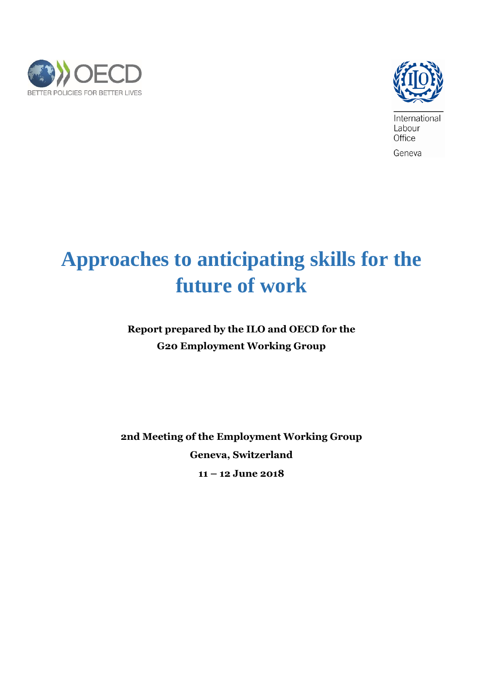



International Labour Office Geneva

# **Approaches to anticipating skills for the future of work**

**Report prepared by the ILO and OECD for the G20 Employment Working Group** 

**2nd Meeting of the Employment Working Group Geneva, Switzerland 11 – 12 June 2018**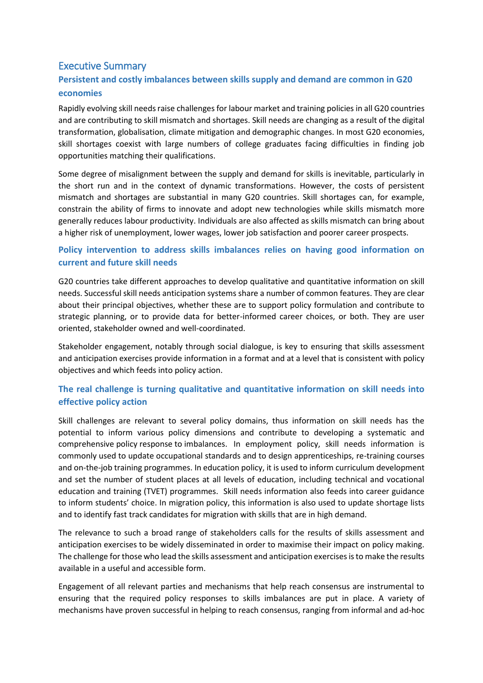# Executive Summary

# **Persistent and costly imbalances between skills supply and demand are common in G20 economies**

Rapidly evolving skill needs raise challenges for labour market and training policies in all G20 countries and are contributing to skill mismatch and shortages. Skill needs are changing as a result of the digital transformation, globalisation, climate mitigation and demographic changes. In most G20 economies, skill shortages coexist with large numbers of college graduates facing difficulties in finding job opportunities matching their qualifications.

Some degree of misalignment between the supply and demand for skills is inevitable, particularly in the short run and in the context of dynamic transformations. However, the costs of persistent mismatch and shortages are substantial in many G20 countries. Skill shortages can, for example, constrain the ability of firms to innovate and adopt new technologies while skills mismatch more generally reduces labour productivity. Individuals are also affected as skills mismatch can bring about a higher risk of unemployment, lower wages, lower job satisfaction and poorer career prospects.

# **Policy intervention to address skills imbalances relies on having good information on current and future skill needs**

G20 countries take different approaches to develop qualitative and quantitative information on skill needs. Successful skill needs anticipation systems share a number of common features. They are clear about their principal objectives, whether these are to support policy formulation and contribute to strategic planning, or to provide data for better-informed career choices, or both. They are user oriented, stakeholder owned and well-coordinated.

Stakeholder engagement, notably through social dialogue, is key to ensuring that skills assessment and anticipation exercises provide information in a format and at a level that is consistent with policy objectives and which feeds into policy action.

# **The real challenge is turning qualitative and quantitative information on skill needs into effective policy action**

Skill challenges are relevant to several policy domains, thus information on skill needs has the potential to inform various policy dimensions and contribute to developing a systematic and comprehensive policy response to imbalances. In employment policy, skill needs information is commonly used to update occupational standards and to design apprenticeships, re-training courses and on-the-job training programmes. In education policy, it is used to inform curriculum development and set the number of student places at all levels of education, including technical and vocational education and training (TVET) programmes. Skill needs information also feeds into career guidance to inform students' choice. In migration policy, this information is also used to update shortage lists and to identify fast track candidates for migration with skills that are in high demand.

The relevance to such a broad range of stakeholders calls for the results of skills assessment and anticipation exercises to be widely disseminated in order to maximise their impact on policy making. The challenge for those who lead the skills assessment and anticipation exercises is to make the results available in a useful and accessible form.

Engagement of all relevant parties and mechanisms that help reach consensus are instrumental to ensuring that the required policy responses to skills imbalances are put in place. A variety of mechanisms have proven successful in helping to reach consensus, ranging from informal and ad-hoc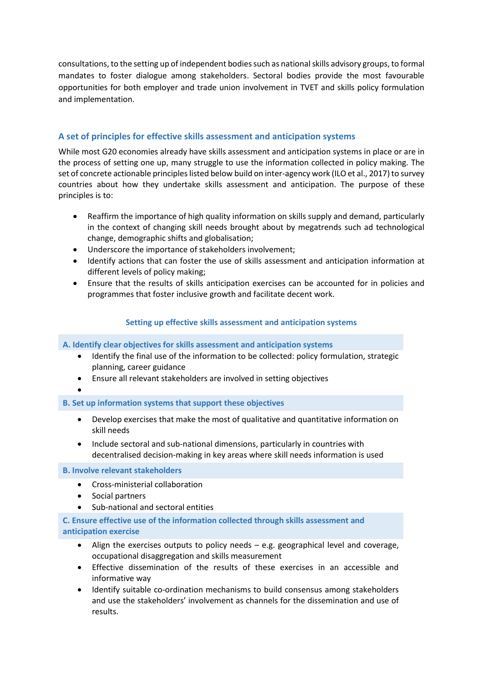consultations, to the setting up of independent bodies such as national skills advisory groups, to formal mandates to foster dialogue among stakeholders. Sectoral bodies provide the most favourable opportunities for both employer and trade union involvement in TVET and skills policy formulation and implementation.

## **A set of principles for effective skills assessment and anticipation systems**

While most G20 economies already have skills assessment and anticipation systems in place or are in the process of setting one up, many struggle to use the information collected in policy making. The set of concrete actionable principles listed below build on inter-agency work (ILO et al., 2017) to survey countries about how they undertake skills assessment and anticipation. The purpose of these principles is to:

- Reaffirm the importance of high quality information on skills supply and demand, particularly in the context of changing skill needs brought about by megatrends such ad technological change, demographic shifts and globalisation;
- Underscore the importance of stakeholders involvement;
- Identify actions that can foster the use of skills assessment and anticipation information at different levels of policy making;
- Ensure that the results of skills anticipation exercises can be accounted for in policies and programmes that foster inclusive growth and facilitate decent work.

## **Setting up effective skills assessment and anticipation systems**

## **A. Identify clear objectives for skills assessment and anticipation systems**

- Identify the final use of the information to be collected: policy formulation, strategic planning, career guidance
- Ensure all relevant stakeholders are involved in setting objectives
- $\bullet$

## **B. Set up information systems that support these objectives**

- Develop exercises that make the most of qualitative and quantitative information on skill needs
- Include sectoral and sub-national dimensions, particularly in countries with decentralised decision-making in key areas where skill needs information is used

## **B. Involve relevant stakeholders**

- Cross-ministerial collaboration
- Social partners
- Sub-national and sectoral entities

## **C. Ensure effective use of the information collected through skills assessment and anticipation exercise**

- Align the exercises outputs to policy needs e.g. geographical level and coverage, occupational disaggregation and skills measurement
- Effective dissemination of the results of these exercises in an accessible and informative way
- Identify suitable co-ordination mechanisms to build consensus among stakeholders and use the stakeholders' involvement as channels for the dissemination and use of results.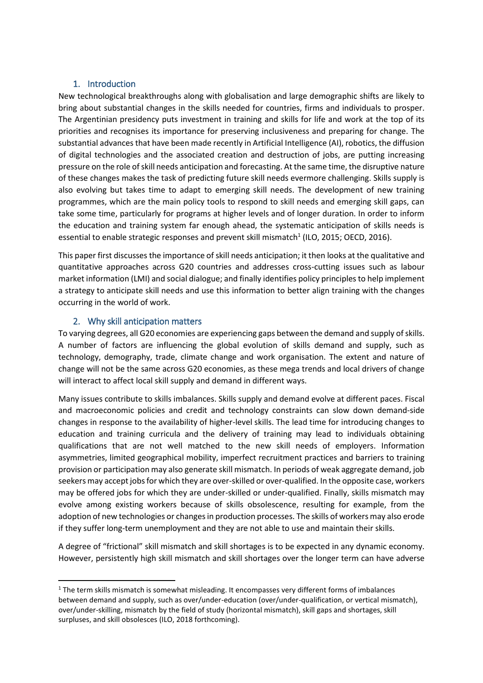## 1. Introduction

New technological breakthroughs along with globalisation and large demographic shifts are likely to bring about substantial changes in the skills needed for countries, firms and individuals to prosper. The Argentinian presidency puts investment in training and skills for life and work at the top of its priorities and recognises its importance for preserving inclusiveness and preparing for change. The substantial advances that have been made recently in Artificial Intelligence (AI), robotics, the diffusion of digital technologies and the associated creation and destruction of jobs, are putting increasing pressure on the role ofskill needs anticipation and forecasting. At the same time, the disruptive nature of these changes makes the task of predicting future skill needs evermore challenging. Skills supply is also evolving but takes time to adapt to emerging skill needs. The development of new training programmes, which are the main policy tools to respond to skill needs and emerging skill gaps, can take some time, particularly for programs at higher levels and of longer duration. In order to inform the education and training system far enough ahead, the systematic anticipation of skills needs is essential to enable strategic responses and prevent skill mismatch<sup>1</sup> (ILO, 2015; OECD, 2016).

This paper first discusses the importance of skill needs anticipation; it then looks at the qualitative and quantitative approaches across G20 countries and addresses cross-cutting issues such as labour market information (LMI) and social dialogue; and finally identifies policy principles to help implement a strategy to anticipate skill needs and use this information to better align training with the changes occurring in the world of work.

## 2. Why skill anticipation matters

**.** 

To varying degrees, all G20 economies are experiencing gaps between the demand and supply of skills. A number of factors are influencing the global evolution of skills demand and supply, such as technology, demography, trade, climate change and work organisation. The extent and nature of change will not be the same across G20 economies, as these mega trends and local drivers of change will interact to affect local skill supply and demand in different ways.

Many issues contribute to skills imbalances. Skills supply and demand evolve at different paces. Fiscal and macroeconomic policies and credit and technology constraints can slow down demand-side changes in response to the availability of higher-level skills. The lead time for introducing changes to education and training curricula and the delivery of training may lead to individuals obtaining qualifications that are not well matched to the new skill needs of employers. Information asymmetries, limited geographical mobility, imperfect recruitment practices and barriers to training provision or participation may also generate skill mismatch. In periods of weak aggregate demand, job seekers may accept jobs for which they are over-skilled or over-qualified. In the opposite case, workers may be offered jobs for which they are under-skilled or under-qualified. Finally, skills mismatch may evolve among existing workers because of skills obsolescence, resulting for example, from the adoption of new technologies or changes in production processes. The skills of workers may also erode if they suffer long-term unemployment and they are not able to use and maintain their skills.

A degree of "frictional" skill mismatch and skill shortages is to be expected in any dynamic economy. However, persistently high skill mismatch and skill shortages over the longer term can have adverse

<sup>&</sup>lt;sup>1</sup> The term skills mismatch is somewhat misleading. It encompasses very different forms of imbalances between demand and supply, such as over/under-education (over/under-qualification, or vertical mismatch), over/under-skilling, mismatch by the field of study (horizontal mismatch), skill gaps and shortages, skill surpluses, and skill obsolesces (ILO, 2018 forthcoming).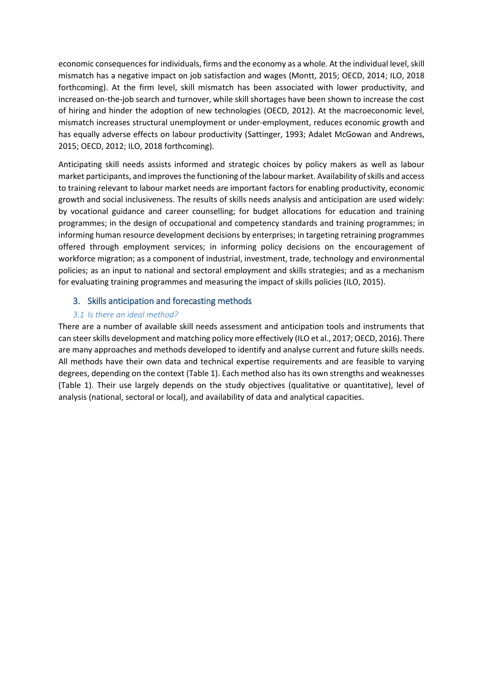economic consequences for individuals, firms and the economy as a whole. At the individual level, skill mismatch has a negative impact on job satisfaction and wages (Montt, 2015; OECD, 2014; ILO, 2018 forthcoming). At the firm level, skill mismatch has been associated with lower productivity, and increased on-the-job search and turnover, while skill shortages have been shown to increase the cost of hiring and hinder the adoption of new technologies (OECD, 2012). At the macroeconomic level, mismatch increases structural unemployment or under-employment, reduces economic growth and has equally adverse effects on labour productivity (Sattinger, 1993; Adalet McGowan and Andrews, 2015; OECD, 2012; ILO, 2018 forthcoming).

Anticipating skill needs assists informed and strategic choices by policy makers as well as labour market participants, and improvesthe functioning of the labour market. Availability of skills and access to training relevant to labour market needs are important factors for enabling productivity, economic growth and social inclusiveness. The results of skills needs analysis and anticipation are used widely: by vocational guidance and career counselling; for budget allocations for education and training programmes; in the design of occupational and competency standards and training programmes; in informing human resource development decisions by enterprises; in targeting retraining programmes offered through employment services; in informing policy decisions on the encouragement of workforce migration; as a component of industrial, investment, trade, technology and environmental policies; as an input to national and sectoral employment and skills strategies; and as a mechanism for evaluating training programmes and measuring the impact of skills policies (ILO, 2015).

## 3. Skills anticipation and forecasting methods

## *3.1 Is there an ideal method?*

There are a number of available skill needs assessment and anticipation tools and instruments that can steerskills development and matching policy more effectively (ILO et al., 2017; OECD, 2016). There are many approaches and methods developed to identify and analyse current and future skills needs. All methods have their own data and technical expertise requirements and are feasible to varying degrees, depending on the context (Table 1). Each method also has its own strengths and weaknesses (Table 1). Their use largely depends on the study objectives (qualitative or quantitative), level of analysis (national, sectoral or local), and availability of data and analytical capacities.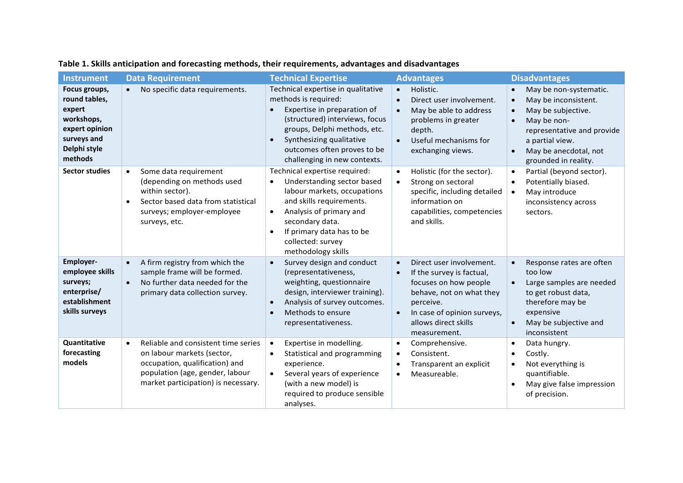| <b>Instrument</b>                                                                                                  | <b>Data Requirement</b>                                                                                                                                                                    | <b>Technical Expertise</b>                                                                                                                                                                                                                                                          | <b>Advantages</b>                                                                                                                                                                                           | <b>Disadvantages</b>                                                                                                                                                                                                                                   |
|--------------------------------------------------------------------------------------------------------------------|--------------------------------------------------------------------------------------------------------------------------------------------------------------------------------------------|-------------------------------------------------------------------------------------------------------------------------------------------------------------------------------------------------------------------------------------------------------------------------------------|-------------------------------------------------------------------------------------------------------------------------------------------------------------------------------------------------------------|--------------------------------------------------------------------------------------------------------------------------------------------------------------------------------------------------------------------------------------------------------|
| Focus groups,<br>round tables,<br>expert<br>workshops,<br>expert opinion<br>surveys and<br>Delphi style<br>methods | No specific data requirements.                                                                                                                                                             | Technical expertise in qualitative<br>methods is required:<br>Expertise in preparation of<br>(structured) interviews, focus<br>groups, Delphi methods, etc.<br>Synthesizing qualitative<br>$\bullet$<br>outcomes often proves to be<br>challenging in new contexts.                 | Holistic.<br>$\bullet$<br>Direct user involvement.<br>$\bullet$<br>May be able to address<br>problems in greater<br>depth.<br>Useful mechanisms for<br>$\bullet$<br>exchanging views.                       | May be non-systematic.<br>$\bullet$<br>May be inconsistent.<br>$\bullet$<br>May be subjective.<br>$\bullet$<br>May be non-<br>$\bullet$<br>representative and provide<br>a partial view.<br>May be anecdotal, not<br>$\bullet$<br>grounded in reality. |
| <b>Sector studies</b>                                                                                              | Some data requirement<br>$\bullet$<br>(depending on methods used<br>within sector).<br>Sector based data from statistical<br>$\bullet$<br>surveys; employer-employee<br>surveys, etc.      | Technical expertise required:<br>Understanding sector based<br>$\bullet$<br>labour markets, occupations<br>and skills requirements.<br>Analysis of primary and<br>$\bullet$<br>secondary data.<br>If primary data has to be<br>$\bullet$<br>collected: survey<br>methodology skills | Holistic (for the sector).<br>$\bullet$<br>Strong on sectoral<br>$\bullet$<br>specific, including detailed<br>information on<br>capabilities, competencies<br>and skills.                                   | Partial (beyond sector).<br>$\bullet$<br>Potentially biased.<br>$\bullet$<br>May introduce<br>$\bullet$<br>inconsistency across<br>sectors.                                                                                                            |
| Employer-<br>employee skills<br>surveys;<br>enterprise/<br>establishment<br>skills surveys                         | A firm registry from which the<br>$\bullet$<br>sample frame will be formed.<br>No further data needed for the<br>$\bullet$<br>primary data collection survey.                              | Survey design and conduct<br>$\bullet$<br>(representativeness,<br>weighting, questionnaire<br>design, interviewer training).<br>Analysis of survey outcomes.<br>$\bullet$<br>Methods to ensure<br>$\bullet$<br>representativeness.                                                  | Direct user involvement.<br>If the survey is factual,<br>focuses on how people<br>behave, not on what they<br>perceive.<br>In case of opinion surveys,<br>$\bullet$<br>allows direct skills<br>measurement. | Response rates are often<br>too low<br>Large samples are needed<br>$\bullet$<br>to get robust data,<br>therefore may be<br>expensive<br>May be subjective and<br>$\bullet$<br>inconsistent                                                             |
| Quantitative<br>forecasting<br>models                                                                              | Reliable and consistent time series<br>$\bullet$<br>on labour markets (sector,<br>occupation, qualification) and<br>population (age, gender, labour<br>market participation) is necessary. | Expertise in modelling.<br>$\bullet$<br>Statistical and programming<br>$\bullet$<br>experience.<br>Several years of experience<br>$\bullet$<br>(with a new model) is<br>required to produce sensible<br>analyses.                                                                   | Comprehensive.<br>$\bullet$<br>Consistent.<br>$\bullet$<br>Transparent an explicit<br>Measureable.<br>$\bullet$                                                                                             | Data hungry.<br>$\bullet$<br>Costly.<br>$\bullet$<br>Not everything is<br>$\bullet$<br>quantifiable.<br>May give false impression<br>$\bullet$<br>of precision.                                                                                        |

# **Table 1. Skills anticipation and forecasting methods, their requirements, advantages and disadvantages**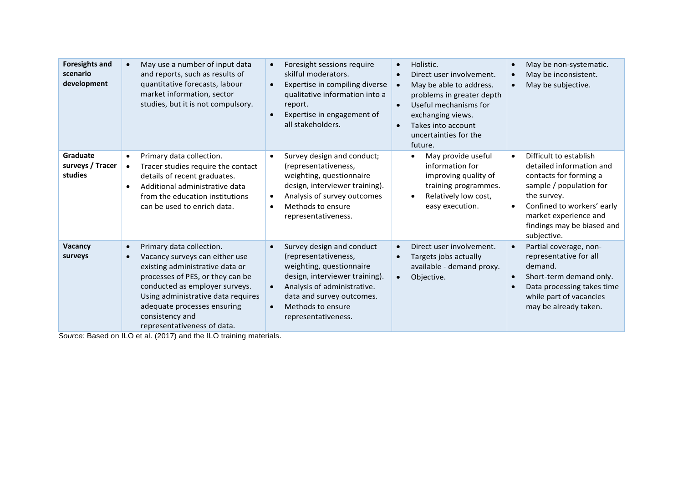| <b>Foresights and</b><br>scenario<br>development | May use a number of input data<br>and reports, such as results of<br>quantitative forecasts, labour<br>market information, sector<br>studies, but it is not compulsory.                                                                                                                    | Foresight sessions require<br>$\bullet$<br>skilful moderators.<br>Expertise in compiling diverse<br>$\bullet$<br>qualitative information into a<br>report.<br>Expertise in engagement of<br>$\bullet$<br>all stakeholders.                                     | Holistic.<br>$\bullet$<br>Direct user involvement.<br>May be able to address.<br>problems in greater depth<br>Useful mechanisms for<br>exchanging views.<br>Takes into account<br>$\bullet$<br>uncertainties for the<br>future. | May be non-systematic.<br>May be inconsistent.<br>$\bullet$<br>May be subjective.<br>$\bullet$                                                                                                                                                       |
|--------------------------------------------------|--------------------------------------------------------------------------------------------------------------------------------------------------------------------------------------------------------------------------------------------------------------------------------------------|----------------------------------------------------------------------------------------------------------------------------------------------------------------------------------------------------------------------------------------------------------------|---------------------------------------------------------------------------------------------------------------------------------------------------------------------------------------------------------------------------------|------------------------------------------------------------------------------------------------------------------------------------------------------------------------------------------------------------------------------------------------------|
| Graduate<br>surveys / Tracer<br>studies          | Primary data collection.<br>Tracer studies require the contact<br>$\bullet$<br>details of recent graduates.<br>Additional administrative data<br>$\bullet$<br>from the education institutions<br>can be used to enrich data.                                                               | Survey design and conduct;<br>$\bullet$<br>(representativeness,<br>weighting, questionnaire<br>design, interviewer training).<br>Analysis of survey outcomes<br>$\bullet$<br>Methods to ensure<br>$\bullet$<br>representativeness.                             | May provide useful<br>information for<br>improving quality of<br>training programmes.<br>Relatively low cost,<br>easy execution.                                                                                                | Difficult to establish<br>$\bullet$<br>detailed information and<br>contacts for forming a<br>sample / population for<br>the survey.<br>Confined to workers' early<br>$\bullet$<br>market experience and<br>findings may be biased and<br>subjective. |
| Vacancy<br>surveys                               | Primary data collection.<br>Vacancy surveys can either use<br>existing administrative data or<br>processes of PES, or they can be<br>conducted as employer surveys.<br>Using administrative data requires<br>adequate processes ensuring<br>consistency and<br>representativeness of data. | Survey design and conduct<br>$\bullet$<br>(representativeness,<br>weighting, questionnaire<br>design, interviewer training).<br>Analysis of administrative.<br>$\bullet$<br>data and survey outcomes.<br>Methods to ensure<br>$\bullet$<br>representativeness. | Direct user involvement.<br>Targets jobs actually<br>available - demand proxy.<br>Objective.                                                                                                                                    | Partial coverage, non-<br>$\bullet$<br>representative for all<br>demand.<br>Short-term demand only.<br>Data processing takes time<br>while part of vacancies<br>may be already taken.                                                                |

*Source:* Based on ILO et al. (2017) and the ILO training materials.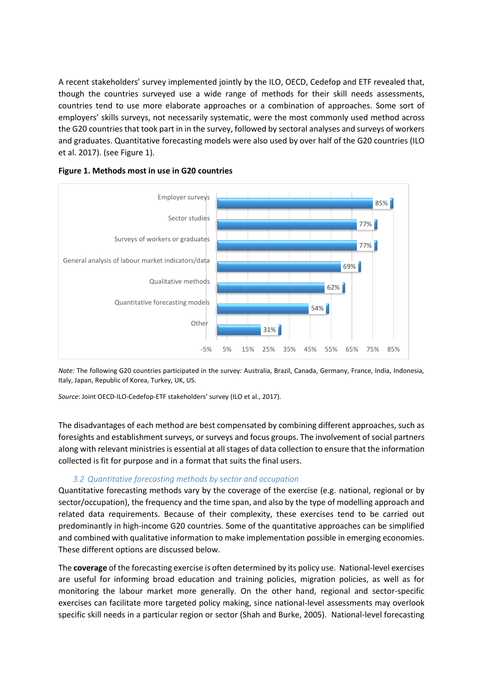A recent stakeholders' survey implemented jointly by the ILO, OECD, Cedefop and ETF revealed that, though the countries surveyed use a wide range of methods for their skill needs assessments, countries tend to use more elaborate approaches or a combination of approaches. Some sort of employers' skills surveys, not necessarily systematic, were the most commonly used method across the G20 countriesthat took part in in the survey, followed by sectoral analyses and surveys of workers and graduates. Quantitative forecasting models were also used by over half of the G20 countries (ILO et al. 2017). (see Figure 1).



## **Figure 1. Methods most in use in G20 countries**

*Note:* The following G20 countries participated in the survey: Australia, Brazil, Canada, Germany, France, India, Indonesia, Italy, Japan, Republic of Korea, Turkey, UK, US.

*Source*: Joint OECD-ILO-Cedefop-ETF stakeholders' survey (ILO et al., 2017).

The disadvantages of each method are best compensated by combining different approaches, such as foresights and establishment surveys, or surveys and focus groups. The involvement of social partners along with relevant ministries is essential at all stages of data collection to ensure that the information collected is fit for purpose and in a format that suits the final users.

## *3.2 Quantitative forecasting methods by sector and occupation*

Quantitative forecasting methods vary by the coverage of the exercise (e.g. national, regional or by sector/occupation), the frequency and the time span, and also by the type of modelling approach and related data requirements. Because of their complexity, these exercises tend to be carried out predominantly in high-income G20 countries. Some of the quantitative approaches can be simplified and combined with qualitative information to make implementation possible in emerging economies. These different options are discussed below.

The **coverage** of the forecasting exercise is often determined by its policy use. National-level exercises are useful for informing broad education and training policies, migration policies, as well as for monitoring the labour market more generally. On the other hand, regional and sector-specific exercises can facilitate more targeted policy making, since national-level assessments may overlook specific skill needs in a particular region or sector (Shah and Burke, 2005). National-level forecasting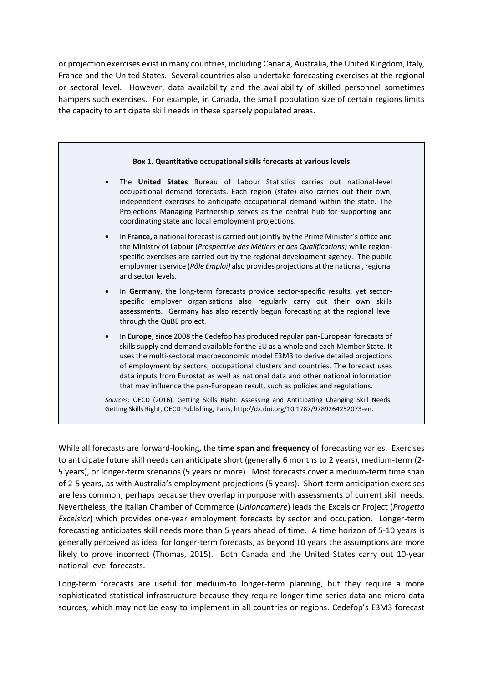or projection exercises exist in many countries, including Canada, Australia, the United Kingdom, Italy, France and the United States. Several countries also undertake forecasting exercises at the regional or sectoral level. However, data availability and the availability of skilled personnel sometimes hampers such exercises. For example, in Canada, the small population size of certain regions limits the capacity to anticipate skill needs in these sparsely populated areas.



While all forecasts are forward-looking, the **time span and frequency** of forecasting varies. Exercises to anticipate future skill needs can anticipate short (generally 6 months to 2 years), medium-term (2- 5 years), or longer-term scenarios (5 years or more). Most forecasts cover a medium-term time span of 2-5 years, as with Australia's employment projections (5 years). Short-term anticipation exercises are less common, perhaps because they overlap in purpose with assessments of current skill needs. Nevertheless, the Italian Chamber of Commerce (*Unioncamere*) leads the Excelsior Project (*Progetto Excelsior*) which provides one-year employment forecasts by sector and occupation. Longer-term forecasting anticipates skill needs more than 5 years ahead of time. A time horizon of 5-10 years is generally perceived as ideal for longer-term forecasts, as beyond 10 years the assumptions are more likely to prove incorrect (Thomas, 2015). Both Canada and the United States carry out 10-year national-level forecasts.

Long-term forecasts are useful for medium-to longer-term planning, but they require a more sophisticated statistical infrastructure because they require longer time series data and micro-data sources, which may not be easy to implement in all countries or regions. Cedefop's E3M3 forecast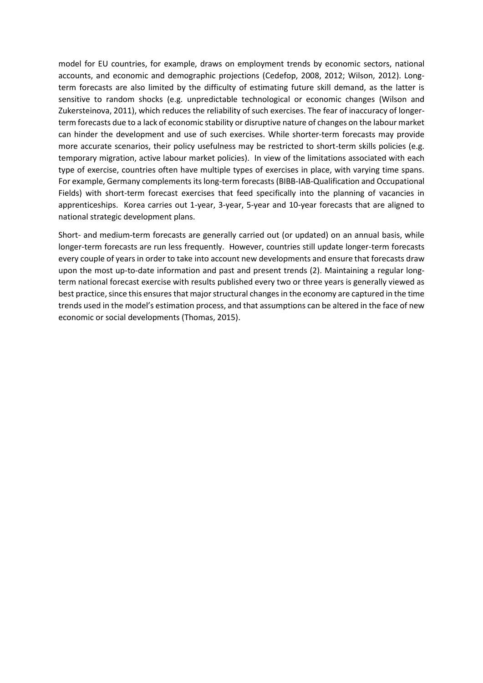model for EU countries, for example, draws on employment trends by economic sectors, national accounts, and economic and demographic projections (Cedefop, 2008, 2012; Wilson, 2012). Longterm forecasts are also limited by the difficulty of estimating future skill demand, as the latter is sensitive to random shocks (e.g. unpredictable technological or economic changes (Wilson and Zukersteinova, 2011), which reduces the reliability of such exercises. The fear of inaccuracy of longerterm forecasts due to a lack of economic stability or disruptive nature of changes on the labour market can hinder the development and use of such exercises. While shorter-term forecasts may provide more accurate scenarios, their policy usefulness may be restricted to short-term skills policies (e.g. temporary migration, active labour market policies). In view of the limitations associated with each type of exercise, countries often have multiple types of exercises in place, with varying time spans. For example, Germany complements its long-term forecasts (BIBB-IAB-Qualification and Occupational Fields) with short-term forecast exercises that feed specifically into the planning of vacancies in apprenticeships. Korea carries out 1-year, 3-year, 5-year and 10-year forecasts that are aligned to national strategic development plans.

Short- and medium-term forecasts are generally carried out (or updated) on an annual basis, while longer-term forecasts are run less frequently. However, countries still update longer-term forecasts every couple of years in order to take into account new developments and ensure that forecasts draw upon the most up-to-date information and past and present trends (2). Maintaining a regular longterm national forecast exercise with results published every two or three years is generally viewed as best practice, since this ensures that major structural changes in the economy are captured in the time trends used in the model's estimation process, and that assumptions can be altered in the face of new economic or social developments (Thomas, 2015).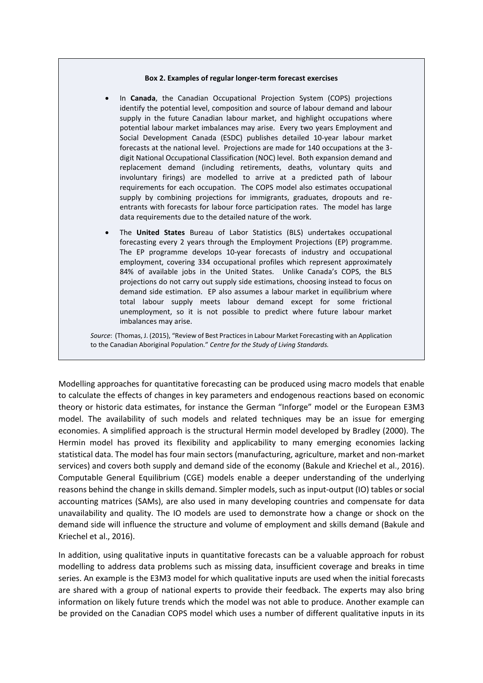#### **Box 2. Examples of regular longer-term forecast exercises**

- In **Canada**, the Canadian Occupational Projection System (COPS) projections identify the potential level, composition and source of labour demand and labour supply in the future Canadian labour market, and highlight occupations where potential labour market imbalances may arise. Every two years Employment and Social Development Canada (ESDC) publishes detailed 10-year labour market forecasts at the national level. Projections are made for 140 occupations at the 3 digit National Occupational Classification (NOC) level. Both expansion demand and replacement demand (including retirements, deaths, voluntary quits and involuntary firings) are modelled to arrive at a predicted path of labour requirements for each occupation. The COPS model also estimates occupational supply by combining projections for immigrants, graduates, dropouts and reentrants with forecasts for labour force participation rates. The model has large data requirements due to the detailed nature of the work.
- The **United States** Bureau of Labor Statistics (BLS) undertakes occupational forecasting every 2 years through the Employment Projections (EP) programme. The EP programme develops 10-year forecasts of industry and occupational employment, covering 334 occupational profiles which represent approximately 84% of available jobs in the United States. Unlike Canada's COPS, the BLS projections do not carry out supply side estimations, choosing instead to focus on demand side estimation. EP also assumes a labour market in equilibrium where total labour supply meets labour demand except for some frictional unemployment, so it is not possible to predict where future labour market imbalances may arise.

*Source*: (Thomas, J. (2015), "Review of Best Practices in Labour Market Forecasting with an Application to the Canadian Aboriginal Population." *Centre for the Study of Living Standards.*

Modelling approaches for quantitative forecasting can be produced using macro models that enable to calculate the effects of changes in key parameters and endogenous reactions based on economic theory or historic data estimates, for instance the German "Inforge" model or the European E3M3 model. The availability of such models and related techniques may be an issue for emerging economies. A simplified approach is the structural Hermin model developed by Bradley (2000). The Hermin model has proved its flexibility and applicability to many emerging economies lacking statistical data. The model has four main sectors (manufacturing, agriculture, market and non-market services) and covers both supply and demand side of the economy (Bakule and Kriechel et al., 2016). Computable General Equilibrium (CGE) models enable a deeper understanding of the underlying reasons behind the change in skills demand. Simpler models, such as input-output (IO) tables or social accounting matrices (SAMs), are also used in many developing countries and compensate for data unavailability and quality. The IO models are used to demonstrate how a change or shock on the demand side will influence the structure and volume of employment and skills demand (Bakule and Kriechel et al., 2016).

In addition, using qualitative inputs in quantitative forecasts can be a valuable approach for robust modelling to address data problems such as missing data, insufficient coverage and breaks in time series. An example is the E3M3 model for which qualitative inputs are used when the initial forecasts are shared with a group of national experts to provide their feedback. The experts may also bring information on likely future trends which the model was not able to produce. Another example can be provided on the Canadian COPS model which uses a number of different qualitative inputs in its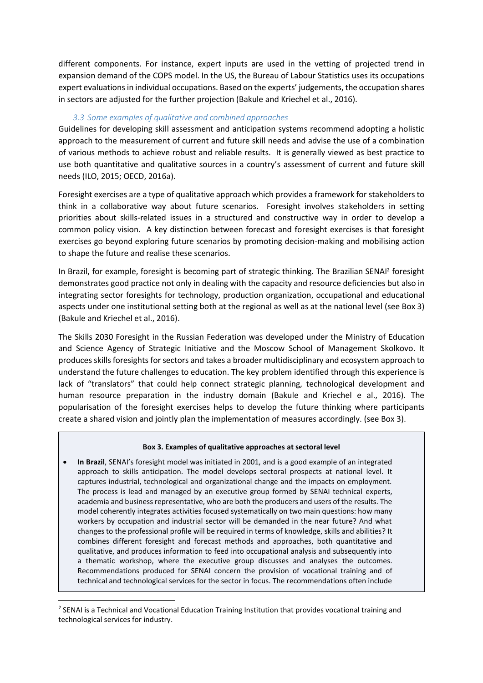different components. For instance, expert inputs are used in the vetting of projected trend in expansion demand of the COPS model. In the US, the Bureau of Labour Statistics uses its occupations expert evaluationsin individual occupations. Based on the experts' judgements, the occupation shares in sectors are adjusted for the further projection (Bakule and Kriechel et al., 2016).

## *3.3 Some examples of qualitative and combined approaches*

Guidelines for developing skill assessment and anticipation systems recommend adopting a holistic approach to the measurement of current and future skill needs and advise the use of a combination of various methods to achieve robust and reliable results. It is generally viewed as best practice to use both quantitative and qualitative sources in a country's assessment of current and future skill needs (ILO, 2015; OECD, 2016a).

Foresight exercises are a type of qualitative approach which provides a framework for stakeholders to think in a collaborative way about future scenarios. Foresight involves stakeholders in setting priorities about skills-related issues in a structured and constructive way in order to develop a common policy vision. A key distinction between forecast and foresight exercises is that foresight exercises go beyond exploring future scenarios by promoting decision-making and mobilising action to shape the future and realise these scenarios.

In Brazil, for example, foresight is becoming part of strategic thinking. The Brazilian SENAI<sup>2</sup> foresight demonstrates good practice not only in dealing with the capacity and resource deficiencies but also in integrating sector foresights for technology, production organization, occupational and educational aspects under one institutional setting both at the regional as well as at the national level (see Box 3) (Bakule and Kriechel et al., 2016).

The Skills 2030 Foresight in the Russian Federation was developed under the Ministry of Education and Science Agency of Strategic Initiative and the Moscow School of Management Skolkovo. It produces skills foresights for sectors and takes a broader multidisciplinary and ecosystem approach to understand the future challenges to education. The key problem identified through this experience is lack of "translators" that could help connect strategic planning, technological development and human resource preparation in the industry domain (Bakule and Kriechel e al., 2016). The popularisation of the foresight exercises helps to develop the future thinking where participants create a shared vision and jointly plan the implementation of measures accordingly. (see Box 3).

#### **Box 3. Examples of qualitative approaches at sectoral level**

 **In Brazil**, SENAI's foresight model was initiated in 2001, and is a good example of an integrated approach to skills anticipation. The model develops sectoral prospects at national level. It captures industrial, technological and organizational change and the impacts on employment. The process is lead and managed by an executive group formed by SENAI technical experts, academia and business representative, who are both the producers and users of the results. The model coherently integrates activities focused systematically on two main questions: how many workers by occupation and industrial sector will be demanded in the near future? And what changes to the professional profile will be required in terms of knowledge, skills and abilities? It combines different foresight and forecast methods and approaches, both quantitative and qualitative, and produces information to feed into occupational analysis and subsequently into a thematic workshop, where the executive group discusses and analyses the outcomes. Recommendations produced for SENAI concern the provision of vocational training and of technical and technological services for the sector in focus. The recommendations often include

**.** 

<sup>&</sup>lt;sup>2</sup> SENAI is a Technical and Vocational Education Training Institution that provides vocational training and technological services for industry.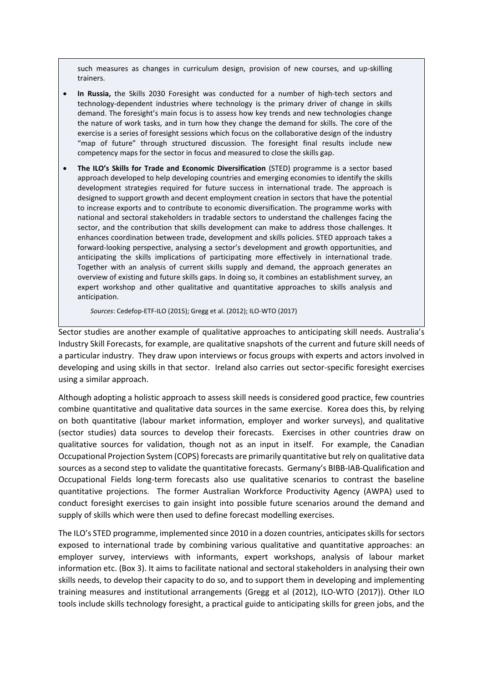such measures as changes in curriculum design, provision of new courses, and up-skilling trainers.

- **In Russia,** the Skills 2030 Foresight was conducted for a number of high-tech sectors and technology-dependent industries where technology is the primary driver of change in skills demand. The foresight's main focus is to assess how key trends and new technologies change the nature of work tasks, and in turn how they change the demand for skills. The core of the exercise is a series of foresight sessions which focus on the collaborative design of the industry "map of future" through structured discussion. The foresight final results include new competency maps for the sector in focus and measured to close the skills gap.
- **The ILO's Skills for Trade and Economic Diversification** (STED) programme is a sector based approach developed to help developing countries and emerging economies to identify the skills development strategies required for future success in international trade. The approach is designed to support growth and decent employment creation in sectors that have the potential to increase exports and to contribute to economic diversification. The programme works with national and sectoral stakeholders in tradable sectors to understand the challenges facing the sector, and the contribution that skills development can make to address those challenges. It enhances coordination between trade, development and skills policies. STED approach takes a forward-looking perspective, analysing a sector's development and growth opportunities, and anticipating the skills implications of participating more effectively in international trade. Together with an analysis of current skills supply and demand, the approach generates an overview of existing and future skills gaps. In doing so, it combines an establishment survey, an expert workshop and other qualitative and quantitative approaches to skills analysis and anticipation.

*Sources*: Cedefop-ETF-ILO (2015); Gregg et al. (2012); ILO-WTO (2017)

Sector studies are another example of qualitative approaches to anticipating skill needs. Australia's Industry Skill Forecasts, for example, are qualitative snapshots of the current and future skill needs of a particular industry. They draw upon interviews or focus groups with experts and actors involved in developing and using skills in that sector. Ireland also carries out sector-specific foresight exercises using a similar approach.

Although adopting a holistic approach to assess skill needs is considered good practice, few countries combine quantitative and qualitative data sources in the same exercise. Korea does this, by relying on both quantitative (labour market information, employer and worker surveys), and qualitative (sector studies) data sources to develop their forecasts. Exercises in other countries draw on qualitative sources for validation, though not as an input in itself. For example, the Canadian Occupational Projection System (COPS) forecasts are primarily quantitative but rely on qualitative data sources as a second step to validate the quantitative forecasts. Germany's BIBB-IAB-Qualification and Occupational Fields long-term forecasts also use qualitative scenarios to contrast the baseline quantitative projections. The former Australian Workforce Productivity Agency (AWPA) used to conduct foresight exercises to gain insight into possible future scenarios around the demand and supply of skills which were then used to define forecast modelling exercises.

The ILO's STED programme, implemented since 2010 in a dozen countries, anticipates skills for sectors exposed to international trade by combining various qualitative and quantitative approaches: an employer survey, interviews with informants, expert workshops, analysis of labour market information etc. (Box 3). It aims to facilitate national and sectoral stakeholders in analysing their own skills needs, to develop their capacity to do so, and to support them in developing and implementing training measures and institutional arrangements (Gregg et al (2012), ILO-WTO (2017)). Other ILO tools include skills technology foresight, a practical guide to anticipating skills for green jobs, and the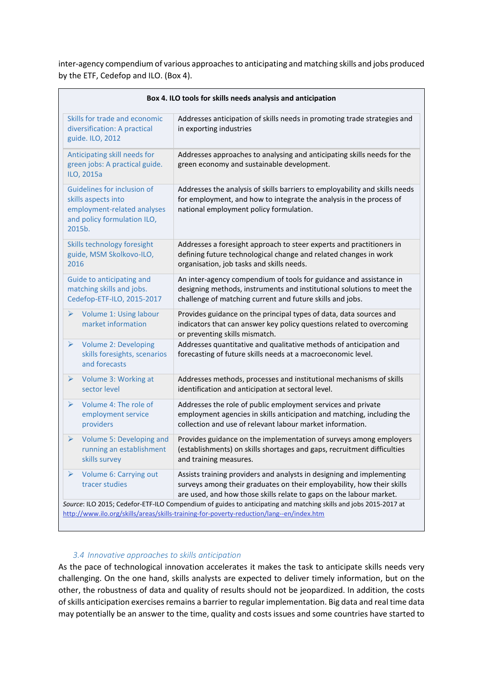inter-agency compendium of various approaches to anticipating and matching skills and jobs produced by the ETF, Cedefop and ILO. (Box 4).

|                                                                                                                            | Box 4. ILO tools for skills needs analysis and anticipation                          |                                                                                                                                                                                                                                                                                                                                            |  |  |  |
|----------------------------------------------------------------------------------------------------------------------------|--------------------------------------------------------------------------------------|--------------------------------------------------------------------------------------------------------------------------------------------------------------------------------------------------------------------------------------------------------------------------------------------------------------------------------------------|--|--|--|
| Skills for trade and economic<br>diversification: A practical<br>guide. ILO, 2012                                          |                                                                                      | Addresses anticipation of skills needs in promoting trade strategies and<br>in exporting industries                                                                                                                                                                                                                                        |  |  |  |
| Anticipating skill needs for<br>green jobs: A practical guide.<br>ILO, 2015a                                               |                                                                                      | Addresses approaches to analysing and anticipating skills needs for the<br>green economy and sustainable development.                                                                                                                                                                                                                      |  |  |  |
| Guidelines for inclusion of<br>skills aspects into<br>employment-related analyses<br>and policy formulation ILO,<br>2015b. |                                                                                      | Addresses the analysis of skills barriers to employability and skills needs<br>for employment, and how to integrate the analysis in the process of<br>national employment policy formulation.                                                                                                                                              |  |  |  |
| Skills technology foresight<br>guide, MSM Skolkovo-ILO,<br>2016                                                            |                                                                                      | Addresses a foresight approach to steer experts and practitioners in<br>defining future technological change and related changes in work<br>organisation, job tasks and skills needs.                                                                                                                                                      |  |  |  |
|                                                                                                                            | Guide to anticipating and<br>matching skills and jobs.<br>Cedefop-ETF-ILO, 2015-2017 | An inter-agency compendium of tools for guidance and assistance in<br>designing methods, instruments and institutional solutions to meet the<br>challenge of matching current and future skills and jobs.                                                                                                                                  |  |  |  |
| ➤                                                                                                                          | Volume 1: Using labour<br>market information                                         | Provides guidance on the principal types of data, data sources and<br>indicators that can answer key policy questions related to overcoming<br>or preventing skills mismatch.                                                                                                                                                              |  |  |  |
| $\blacktriangleright$                                                                                                      | <b>Volume 2: Developing</b><br>skills foresights, scenarios<br>and forecasts         | Addresses quantitative and qualitative methods of anticipation and<br>forecasting of future skills needs at a macroeconomic level.                                                                                                                                                                                                         |  |  |  |
| $\blacktriangleright$                                                                                                      | Volume 3: Working at<br>sector level                                                 | Addresses methods, processes and institutional mechanisms of skills<br>identification and anticipation at sectoral level.                                                                                                                                                                                                                  |  |  |  |
| ➤                                                                                                                          | Volume 4: The role of<br>employment service<br>providers                             | Addresses the role of public employment services and private<br>employment agencies in skills anticipation and matching, including the<br>collection and use of relevant labour market information.                                                                                                                                        |  |  |  |
| ➤                                                                                                                          | Volume 5: Developing and<br>running an establishment<br>skills survey                | Provides guidance on the implementation of surveys among employers<br>(establishments) on skills shortages and gaps, recruitment difficulties<br>and training measures.                                                                                                                                                                    |  |  |  |
| ➤                                                                                                                          | Volume 6: Carrying out<br>tracer studies                                             | Assists training providers and analysts in designing and implementing<br>surveys among their graduates on their employability, how their skills<br>are used, and how those skills relate to gaps on the labour market.<br>Source: ILO 2015; Cedefor-ETF-ILO Compendium of guides to anticipating and matching skills and jobs 2015-2017 at |  |  |  |

## *3.4 Innovative approaches to skills anticipation*

As the pace of technological innovation accelerates it makes the task to anticipate skills needs very challenging. On the one hand, skills analysts are expected to deliver timely information, but on the other, the robustness of data and quality of results should not be jeopardized. In addition, the costs of skills anticipation exercises remains a barrier to regular implementation. Big data and real time data may potentially be an answer to the time, quality and costs issues and some countries have started to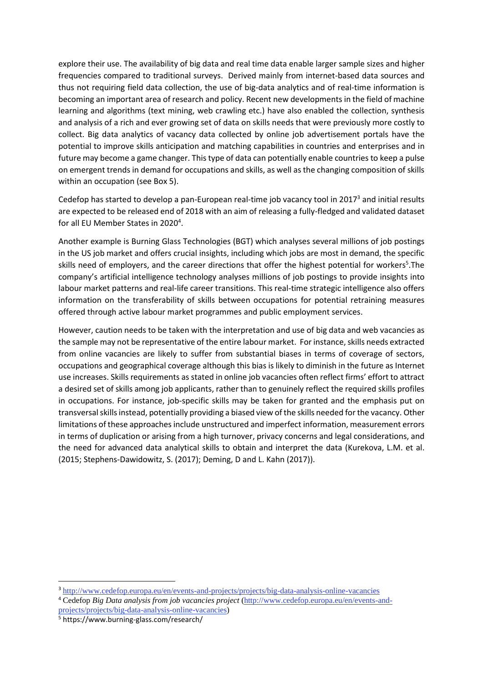explore their use. The availability of big data and real time data enable larger sample sizes and higher frequencies compared to traditional surveys. Derived mainly from internet-based data sources and thus not requiring field data collection, the use of big-data analytics and of real-time information is becoming an important area of research and policy. Recent new developments in the field of machine learning and algorithms (text mining, web crawling etc.) have also enabled the collection, synthesis and analysis of a rich and ever growing set of data on skills needs that were previously more costly to collect. Big data analytics of vacancy data collected by online job advertisement portals have the potential to improve skills anticipation and matching capabilities in countries and enterprises and in future may become a game changer. This type of data can potentially enable countries to keep a pulse on emergent trends in demand for occupations and skills, as well as the changing composition of skills within an occupation (see Box 5).

Cedefop has started to develop a pan-European real-time job vacancy tool in 2017<sup>3</sup> and initial results are expected to be released end of 2018 with an aim of releasing a fully-fledged and validated dataset for all EU Member States in 2020<sup>4</sup>.

Another example is Burning Glass Technologies (BGT) which analyses several millions of job postings in the US job market and offers crucial insights, including which jobs are most in demand, the specific skills need of employers, and the career directions that offer the highest potential for workers<sup>5</sup>. The company's artificial intelligence technology analyses millions of job postings to provide insights into labour market patterns and real-life career transitions. This real-time strategic intelligence also offers information on the transferability of skills between occupations for potential retraining measures offered through active labour market programmes and public employment services.

However, caution needs to be taken with the interpretation and use of big data and web vacancies as the sample may not be representative of the entire labour market. For instance, skills needs extracted from online vacancies are likely to suffer from substantial biases in terms of coverage of sectors, occupations and geographical coverage although this bias is likely to diminish in the future as Internet use increases. Skills requirements as stated in online job vacancies often reflect firms' effort to attract a desired set of skills among job applicants, rather than to genuinely reflect the required skills profiles in occupations. For instance, job-specific skills may be taken for granted and the emphasis put on transversal skills instead, potentially providing a biased view of the skills needed for the vacancy. Other limitations of these approaches include unstructured and imperfect information, measurement errors in terms of duplication or arising from a high turnover, privacy concerns and legal considerations, and the need for advanced data analytical skills to obtain and interpret the data (Kurekova, L.M. et al. (2015; Stephens-Dawidowitz, S. (2017); Deming, D and L. Kahn (2017)).

**.** 

<sup>3</sup> <http://www.cedefop.europa.eu/en/events-and-projects/projects/big-data-analysis-online-vacancies>

<sup>4</sup> Cedefop *Big Data analysis from job vacancies project* [\(http://www.cedefop.europa.eu/en/events-and](http://www.cedefop.europa.eu/en/events-and-projects/projects/big-data-analysis-online-vacancies)[projects/projects/big-data-analysis-online-vacancies\)](http://www.cedefop.europa.eu/en/events-and-projects/projects/big-data-analysis-online-vacancies)

<sup>5</sup> https://www.burning-glass.com/research/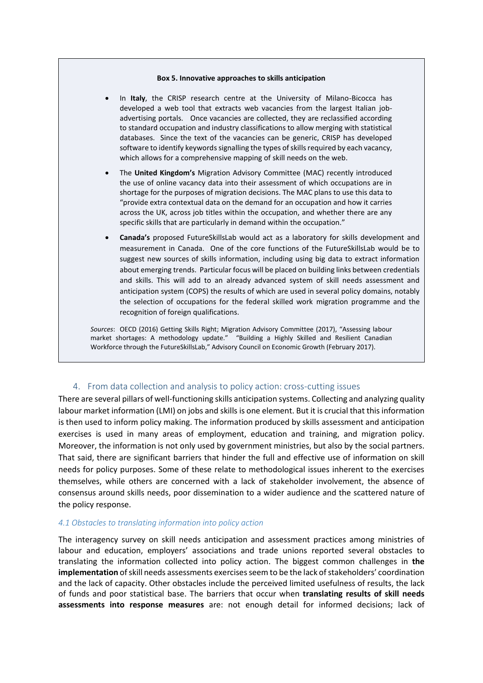#### **Box 5. Innovative approaches to skills anticipation**

- In **Italy**, the CRISP research centre at the University of Milano-Bicocca has developed a web tool that extracts web vacancies from the largest Italian jobadvertising portals. Once vacancies are collected, they are reclassified according to standard occupation and industry classifications to allow merging with statistical databases. Since the text of the vacancies can be generic, CRISP has developed software to identify keywords signalling the types of skills required by each vacancy, which allows for a comprehensive mapping of skill needs on the web.
- The **United Kingdom's** Migration Advisory Committee (MAC) recently introduced the use of online vacancy data into their assessment of which occupations are in shortage for the purposes of migration decisions. The MAC plans to use this data to "provide extra contextual data on the demand for an occupation and how it carries across the UK, across job titles within the occupation, and whether there are any specific skills that are particularly in demand within the occupation."
- **Canada's** proposed FutureSkillsLab would act as a laboratory for skills development and measurement in Canada. One of the core functions of the FutureSkillsLab would be to suggest new sources of skills information, including using big data to extract information about emerging trends. Particular focus will be placed on building links between credentials and skills. This will add to an already advanced system of skill needs assessment and anticipation system (COPS) the results of which are used in several policy domains, notably the selection of occupations for the federal skilled work migration programme and the recognition of foreign qualifications.

*Sources*: OECD (2016) Getting Skills Right; Migration Advisory Committee (2017), "Assessing labour market shortages: A methodology update." "Building a Highly Skilled and Resilient Canadian Workforce through the FutureSkillsLab," Advisory Council on Economic Growth (February 2017).

## 4. From data collection and analysis to policy action: cross-cutting issues

There are several pillars of well-functioning skills anticipation systems. Collecting and analyzing quality labour market information (LMI) on jobs and skills is one element. But it is crucial that this information is then used to inform policy making. The information produced by skills assessment and anticipation exercises is used in many areas of employment, education and training, and migration policy. Moreover, the information is not only used by government ministries, but also by the social partners. That said, there are significant barriers that hinder the full and effective use of information on skill needs for policy purposes. Some of these relate to methodological issues inherent to the exercises themselves, while others are concerned with a lack of stakeholder involvement, the absence of consensus around skills needs, poor dissemination to a wider audience and the scattered nature of the policy response.

#### *4.1 Obstacles to translating information into policy action*

The interagency survey on skill needs anticipation and assessment practices among ministries of labour and education, employers' associations and trade unions reported several obstacles to translating the information collected into policy action. The biggest common challenges in **the implementation** of skill needs assessments exercises seem to be the lack of stakeholders' coordination and the lack of capacity. Other obstacles include the perceived limited usefulness of results, the lack of funds and poor statistical base. The barriers that occur when **translating results of skill needs assessments into response measures** are: not enough detail for informed decisions; lack of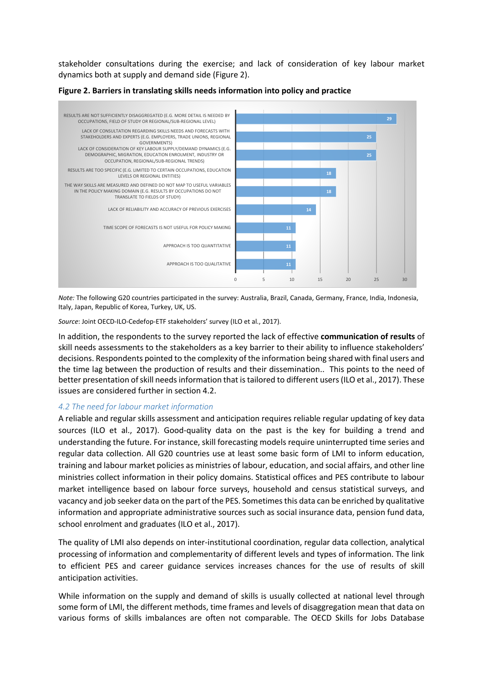stakeholder consultations during the exercise; and lack of consideration of key labour market dynamics both at supply and demand side (Figure 2).



**Figure 2. Barriers in translating skills needs information into policy and practice**

*Note:* The following G20 countries participated in the survey: Australia, Brazil, Canada, Germany, France, India, Indonesia, Italy, Japan, Republic of Korea, Turkey, UK, US.

*Source*: Joint OECD-ILO-Cedefop-ETF stakeholders' survey (ILO et al., 2017).

In addition, the respondents to the survey reported the lack of effective **communication of results** of skill needs assessments to the stakeholders as a key barrier to their ability to influence stakeholders' decisions. Respondents pointed to the complexity of the information being shared with final users and the time lag between the production of results and their dissemination.. This points to the need of better presentation of skill needs information that is tailored to different users (ILO et al., 2017). These issues are considered further in section 4.2.

#### *4.2 The need for labour market information*

A reliable and regular skills assessment and anticipation requires reliable regular updating of key data sources (ILO et al., 2017). Good-quality data on the past is the key for building a trend and understanding the future. For instance, skill forecasting models require uninterrupted time series and regular data collection. All G20 countries use at least some basic form of LMI to inform education, training and labour market policies as ministries of labour, education, and social affairs, and other line ministries collect information in their policy domains. Statistical offices and PES contribute to labour market intelligence based on labour force surveys, household and census statistical surveys, and vacancy and job seeker data on the part of the PES. Sometimes this data can be enriched by qualitative information and appropriate administrative sources such as social insurance data, pension fund data, school enrolment and graduates (ILO et al., 2017).

The quality of LMI also depends on inter-institutional coordination, regular data collection, analytical processing of information and complementarity of different levels and types of information. The link to efficient PES and career guidance services increases chances for the use of results of skill anticipation activities.

While information on the supply and demand of skills is usually collected at national level through some form of LMI, the different methods, time frames and levels of disaggregation mean that data on various forms of skills imbalances are often not comparable. The OECD Skills for Jobs Database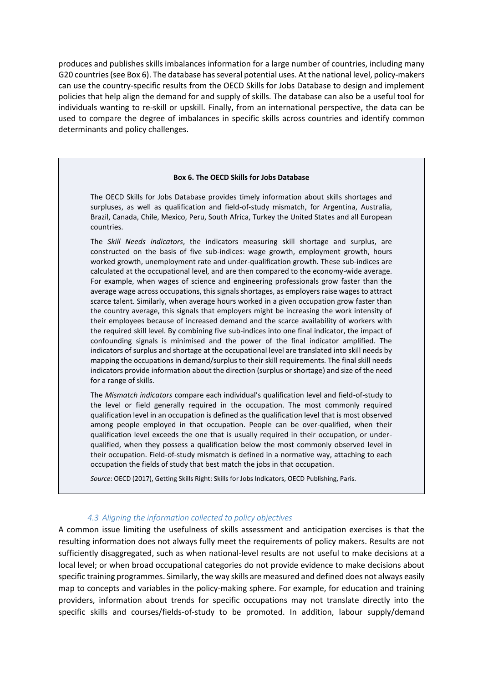produces and publishes skills imbalances information for a large number of countries, including many G20 countries (see Box 6). The database has several potential uses. At the national level, policy-makers can use the country-specific results from the OECD Skills for Jobs Database to design and implement policies that help align the demand for and supply of skills. The database can also be a useful tool for individuals wanting to re-skill or upskill. Finally, from an international perspective, the data can be used to compare the degree of imbalances in specific skills across countries and identify common determinants and policy challenges.

#### **Box 6. The OECD Skills for Jobs Database**

The OECD Skills for Jobs Database provides timely information about skills shortages and surpluses, as well as qualification and field-of-study mismatch, for Argentina, Australia, Brazil, Canada, Chile, Mexico, Peru, South Africa, Turkey the United States and all European countries.

The *Skill Needs indicators*, the indicators measuring skill shortage and surplus, are constructed on the basis of five sub-indices: wage growth, employment growth, hours worked growth, unemployment rate and under-qualification growth. These sub-indices are calculated at the occupational level, and are then compared to the economy-wide average. For example, when wages of science and engineering professionals grow faster than the average wage across occupations, this signals shortages, as employers raise wages to attract scarce talent. Similarly, when average hours worked in a given occupation grow faster than the country average, this signals that employers might be increasing the work intensity of their employees because of increased demand and the scarce availability of workers with the required skill level. By combining five sub-indices into one final indicator, the impact of confounding signals is minimised and the power of the final indicator amplified. The indicators of surplus and shortage at the occupational level are translated into skill needs by mapping the occupations in demand/surplus to their skill requirements. The final skill needs indicators provide information about the direction (surplus or shortage) and size of the need for a range of skills.

The *Mismatch indicators* compare each individual's qualification level and field-of-study to the level or field generally required in the occupation. The most commonly required qualification level in an occupation is defined as the qualification level that is most observed among people employed in that occupation. People can be over-qualified, when their qualification level exceeds the one that is usually required in their occupation, or underqualified, when they possess a qualification below the most commonly observed level in their occupation. Field-of-study mismatch is defined in a normative way, attaching to each occupation the fields of study that best match the jobs in that occupation.

*Source*: OECD (2017), Getting Skills Right: Skills for Jobs Indicators, OECD Publishing, Paris.

#### *4.3 Aligning the information collected to policy objectives*

A common issue limiting the usefulness of skills assessment and anticipation exercises is that the resulting information does not always fully meet the requirements of policy makers. Results are not sufficiently disaggregated, such as when national-level results are not useful to make decisions at a local level; or when broad occupational categories do not provide evidence to make decisions about specific training programmes. Similarly, the way skills are measured and defined does not always easily map to concepts and variables in the policy-making sphere. For example, for education and training providers, information about trends for specific occupations may not translate directly into the specific skills and courses/fields-of-study to be promoted. In addition, labour supply/demand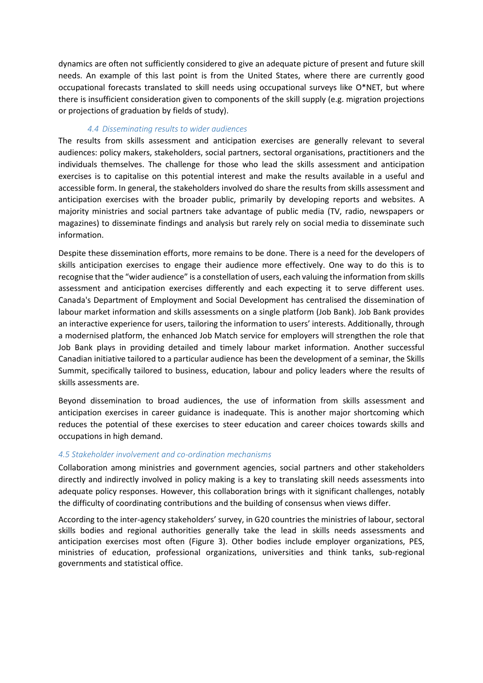dynamics are often not sufficiently considered to give an adequate picture of present and future skill needs. An example of this last point is from the United States, where there are currently good occupational forecasts translated to skill needs using occupational surveys like O\*NET, but where there is insufficient consideration given to components of the skill supply (e.g. migration projections or projections of graduation by fields of study).

## *4.4 Disseminating results to wider audiences*

The results from skills assessment and anticipation exercises are generally relevant to several audiences: policy makers, stakeholders, social partners, sectoral organisations, practitioners and the individuals themselves. The challenge for those who lead the skills assessment and anticipation exercises is to capitalise on this potential interest and make the results available in a useful and accessible form. In general, the stakeholders involved do share the results from skills assessment and anticipation exercises with the broader public, primarily by developing reports and websites. A majority ministries and social partners take advantage of public media (TV, radio, newspapers or magazines) to disseminate findings and analysis but rarely rely on social media to disseminate such information.

Despite these dissemination efforts, more remains to be done. There is a need for the developers of skills anticipation exercises to engage their audience more effectively. One way to do this is to recognise that the "wider audience" is a constellation of users, each valuing the information from skills assessment and anticipation exercises differently and each expecting it to serve different uses. Canada's Department of Employment and Social Development has centralised the dissemination of labour market information and skills assessments on a single platform (Job Bank). Job Bank provides an interactive experience for users, tailoring the information to users' interests. Additionally, through a modernised platform, the enhanced Job Match service for employers will strengthen the role that Job Bank plays in providing detailed and timely labour market information. Another successful Canadian initiative tailored to a particular audience has been the development of a seminar, the Skills Summit, specifically tailored to business, education, labour and policy leaders where the results of skills assessments are.

Beyond dissemination to broad audiences, the use of information from skills assessment and anticipation exercises in career guidance is inadequate. This is another major shortcoming which reduces the potential of these exercises to steer education and career choices towards skills and occupations in high demand.

## *4.5 Stakeholder involvement and co-ordination mechanisms*

Collaboration among ministries and government agencies, social partners and other stakeholders directly and indirectly involved in policy making is a key to translating skill needs assessments into adequate policy responses. However, this collaboration brings with it significant challenges, notably the difficulty of coordinating contributions and the building of consensus when views differ.

According to the inter-agency stakeholders' survey, in G20 countries the ministries of labour, sectoral skills bodies and regional authorities generally take the lead in skills needs assessments and anticipation exercises most often (Figure 3). Other bodies include employer organizations, PES, ministries of education, professional organizations, universities and think tanks, sub-regional governments and statistical office.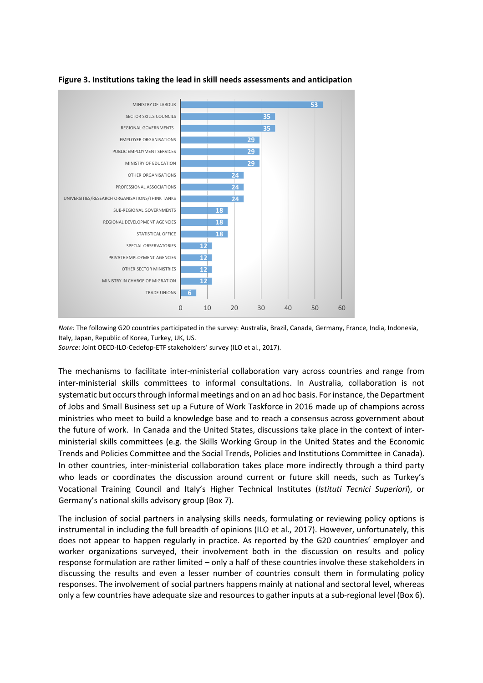

## **Figure 3. Institutions taking the lead in skill needs assessments and anticipation**

*Note:* The following G20 countries participated in the survey: Australia, Brazil, Canada, Germany, France, India, Indonesia, Italy, Japan, Republic of Korea, Turkey, UK, US.

*Source*: Joint OECD-ILO-Cedefop-ETF stakeholders' survey (ILO et al., 2017).

The mechanisms to facilitate inter-ministerial collaboration vary across countries and range from inter-ministerial skills committees to informal consultations. In Australia, collaboration is not systematic but occurs through informal meetings and on an ad hoc basis. For instance, the Department of Jobs and Small Business set up a Future of Work Taskforce in 2016 made up of champions across ministries who meet to build a knowledge base and to reach a consensus across government about the future of work. In Canada and the United States, discussions take place in the context of interministerial skills committees (e.g. the Skills Working Group in the United States and the Economic Trends and Policies Committee and the Social Trends, Policies and Institutions Committee in Canada). In other countries, inter-ministerial collaboration takes place more indirectly through a third party who leads or coordinates the discussion around current or future skill needs, such as Turkey's Vocational Training Council and Italy's Higher Technical Institutes (*Istituti Tecnici Superiori*), or Germany's national skills advisory group (Box 7).

The inclusion of social partners in analysing skills needs, formulating or reviewing policy options is instrumental in including the full breadth of opinions (ILO et al., 2017). However, unfortunately, this does not appear to happen regularly in practice. As reported by the G20 countries' employer and worker organizations surveyed, their involvement both in the discussion on results and policy response formulation are rather limited – only a half of these countries involve these stakeholders in discussing the results and even a lesser number of countries consult them in formulating policy responses. The involvement of social partners happens mainly at national and sectoral level, whereas only a few countries have adequate size and resources to gather inputs at a sub-regional level (Box 6).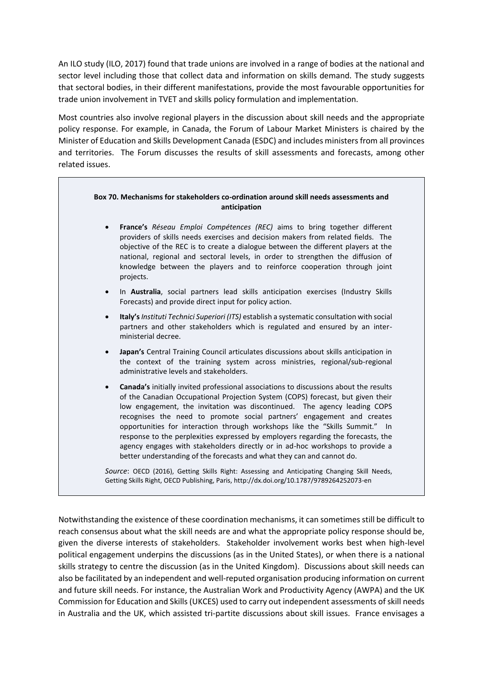An ILO study (ILO, 2017) found that trade unions are involved in a range of bodies at the national and sector level including those that collect data and information on skills demand. The study suggests that sectoral bodies, in their different manifestations, provide the most favourable opportunities for trade union involvement in TVET and skills policy formulation and implementation.

Most countries also involve regional players in the discussion about skill needs and the appropriate policy response. For example, in Canada, the Forum of Labour Market Ministers is chaired by the Minister of Education and Skills Development Canada (ESDC) and includes ministers from all provinces and territories. The Forum discusses the results of skill assessments and forecasts, among other related issues.

#### **Box 70. Mechanisms for stakeholders co-ordination around skill needs assessments and anticipation**

- **France's** *Réseau Emploi Compétences (REC)* aims to bring together different providers of skills needs exercises and decision makers from related fields. The objective of the REC is to create a dialogue between the different players at the national, regional and sectoral levels, in order to strengthen the diffusion of knowledge between the players and to reinforce cooperation through joint projects.
- In **Australia**, social partners lead skills anticipation exercises (Industry Skills Forecasts) and provide direct input for policy action.
- **Italy's** *Instituti Technici Superiori (ITS)* establish a systematic consultation with social partners and other stakeholders which is regulated and ensured by an interministerial decree.
- **Japan's** Central Training Council articulates discussions about skills anticipation in the context of the training system across ministries, regional/sub-regional administrative levels and stakeholders.
- **Canada's** initially invited professional associations to discussions about the results of the Canadian Occupational Projection System (COPS) forecast, but given their low engagement, the invitation was discontinued. The agency leading COPS recognises the need to promote social partners' engagement and creates opportunities for interaction through workshops like the "Skills Summit." In response to the perplexities expressed by employers regarding the forecasts, the agency engages with stakeholders directly or in ad-hoc workshops to provide a better understanding of the forecasts and what they can and cannot do.

*Source*: OECD (2016), Getting Skills Right: Assessing and Anticipating Changing Skill Needs, Getting Skills Right, OECD Publishing, Paris, http://dx.doi.org/10.1787/9789264252073-en

Notwithstanding the existence of these coordination mechanisms, it can sometimes still be difficult to reach consensus about what the skill needs are and what the appropriate policy response should be, given the diverse interests of stakeholders. Stakeholder involvement works best when high-level political engagement underpins the discussions (as in the United States), or when there is a national skills strategy to centre the discussion (as in the United Kingdom). Discussions about skill needs can also be facilitated by an independent and well-reputed organisation producing information on current and future skill needs. For instance, the Australian Work and Productivity Agency (AWPA) and the UK Commission for Education and Skills (UKCES) used to carry out independent assessments of skill needs in Australia and the UK, which assisted tri-partite discussions about skill issues. France envisages a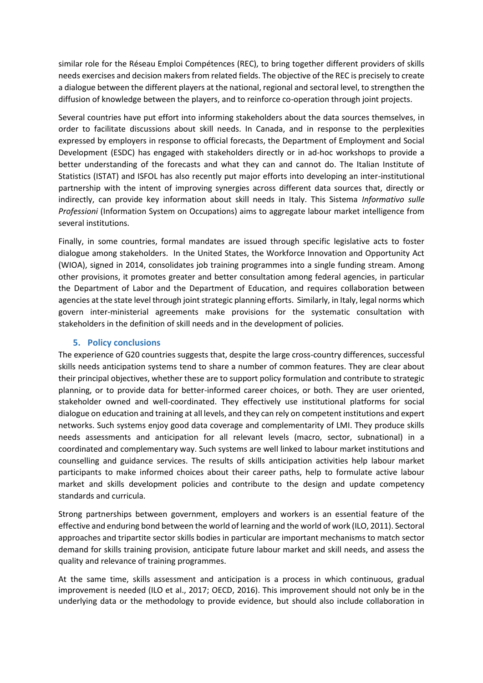similar role for the Réseau Emploi Compétences (REC), to bring together different providers of skills needs exercises and decision makers from related fields. The objective of the REC is precisely to create a dialogue between the different players at the national, regional and sectoral level, to strengthen the diffusion of knowledge between the players, and to reinforce co-operation through joint projects.

Several countries have put effort into informing stakeholders about the data sources themselves, in order to facilitate discussions about skill needs. In Canada, and in response to the perplexities expressed by employers in response to official forecasts, the Department of Employment and Social Development (ESDC) has engaged with stakeholders directly or in ad-hoc workshops to provide a better understanding of the forecasts and what they can and cannot do. The Italian Institute of Statistics (ISTAT) and ISFOL has also recently put major efforts into developing an inter-institutional partnership with the intent of improving synergies across different data sources that, directly or indirectly, can provide key information about skill needs in Italy. This Sistema *Informativo sulle Professioni* (Information System on Occupations) aims to aggregate labour market intelligence from several institutions.

Finally, in some countries, formal mandates are issued through specific legislative acts to foster dialogue among stakeholders. In the United States, the Workforce Innovation and Opportunity Act (WIOA), signed in 2014, consolidates job training programmes into a single funding stream. Among other provisions, it promotes greater and better consultation among federal agencies, in particular the Department of Labor and the Department of Education, and requires collaboration between agencies at the state level through joint strategic planning efforts. Similarly, in Italy, legal norms which govern inter-ministerial agreements make provisions for the systematic consultation with stakeholders in the definition of skill needs and in the development of policies.

## **5. Policy conclusions**

The experience of G20 countries suggests that, despite the large cross-country differences, successful skills needs anticipation systems tend to share a number of common features. They are clear about their principal objectives, whether these are to support policy formulation and contribute to strategic planning, or to provide data for better-informed career choices, or both. They are user oriented, stakeholder owned and well-coordinated. They effectively use institutional platforms for social dialogue on education and training at all levels, and they can rely on competent institutions and expert networks. Such systems enjoy good data coverage and complementarity of LMI. They produce skills needs assessments and anticipation for all relevant levels (macro, sector, subnational) in a coordinated and complementary way. Such systems are well linked to labour market institutions and counselling and guidance services. The results of skills anticipation activities help labour market participants to make informed choices about their career paths, help to formulate active labour market and skills development policies and contribute to the design and update competency standards and curricula.

Strong partnerships between government, employers and workers is an essential feature of the effective and enduring bond between the world of learning and the world of work (ILO, 2011). Sectoral approaches and tripartite sector skills bodies in particular are important mechanisms to match sector demand for skills training provision, anticipate future labour market and skill needs, and assess the quality and relevance of training programmes.

At the same time, skills assessment and anticipation is a process in which continuous, gradual improvement is needed (ILO et al., 2017; OECD, 2016). This improvement should not only be in the underlying data or the methodology to provide evidence, but should also include collaboration in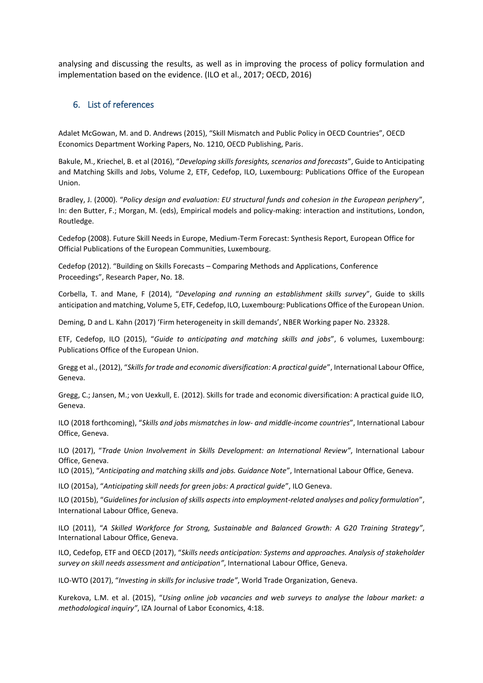analysing and discussing the results, as well as in improving the process of policy formulation and implementation based on the evidence. (ILO et al., 2017; OECD, 2016)

## 6. List of references

Adalet McGowan, M. and D. Andrews (2015), "Skill Mismatch and Public Policy in OECD Countries", OECD Economics Department Working Papers, No. 1210, OECD Publishing, Paris.

Bakule, M., Kriechel, B. et al (2016), "*Developing skills foresights, scenarios and forecasts*", Guide to Anticipating and Matching Skills and Jobs, Volume 2, ETF, Cedefop, ILO, Luxembourg: Publications Office of the European Union.

Bradley, J. (2000). "*Policy design and evaluation: EU structural funds and cohesion in the European periphery*", In: den Butter, F.; Morgan, M. (eds), Empirical models and policy-making: interaction and institutions, London, Routledge.

Cedefop (2008). Future Skill Needs in Europe, Medium-Term Forecast: Synthesis Report, European Office for Official Publications of the European Communities, Luxembourg.

Cedefop (2012). "Building on Skills Forecasts – Comparing Methods and Applications, Conference Proceedings", Research Paper, No. 18.

Corbella, T. and Mane, F (2014), "*Developing and running an establishment skills survey*", Guide to skills anticipation and matching, Volume 5, ETF, Cedefop, ILO, Luxembourg: Publications Office of the European Union.

Deming, D and L. Kahn (2017) 'Firm heterogeneity in skill demands', NBER Working paper No. 23328.

ETF, Cedefop, ILO (2015), "*Guide to anticipating and matching skills and jobs*", 6 volumes, Luxembourg: Publications Office of the European Union.

Gregg et al., (2012), "*Skills for trade and economic diversification: A practical guide*", International Labour Office, Geneva.

Gregg, C.; Jansen, M.; von Uexkull, E. (2012). Skills for trade and economic diversification: A practical guide ILO, Geneva.

ILO (2018 forthcoming), "*Skills and jobs mismatches in low- and middle-income countries*", International Labour Office, Geneva.

ILO (2017), "*Trade Union Involvement in Skills Development: an International Review"*, International Labour Office, Geneva.

ILO (2015), "*Anticipating and matching skills and jobs. Guidance Note*", International Labour Office, Geneva.

ILO (2015a), "*Anticipating skill needs for green jobs: A practical guide*", ILO Geneva.

ILO (2015b), "*Guidelines for inclusion of skills aspects into employment-related analyses and policy formulation*", International Labour Office, Geneva.

ILO (2011), "*A Skilled Workforce for Strong, Sustainable and Balanced Growth: A G20 Training Strategy"*, International Labour Office, Geneva.

ILO, Cedefop, ETF and OECD (2017), "*Skills needs anticipation: Systems and approaches. Analysis of stakeholder survey on skill needs assessment and anticipation"*, International Labour Office, Geneva.

ILO-WTO (2017), "*Investing in skills for inclusive trade"*, World Trade Organization, Geneva.

Kurekova, L.M. et al. (2015), "*Using online job vacancies and web surveys to analyse the labour market: a methodological inquiry"*, IZA Journal of Labor Economics, 4:18.